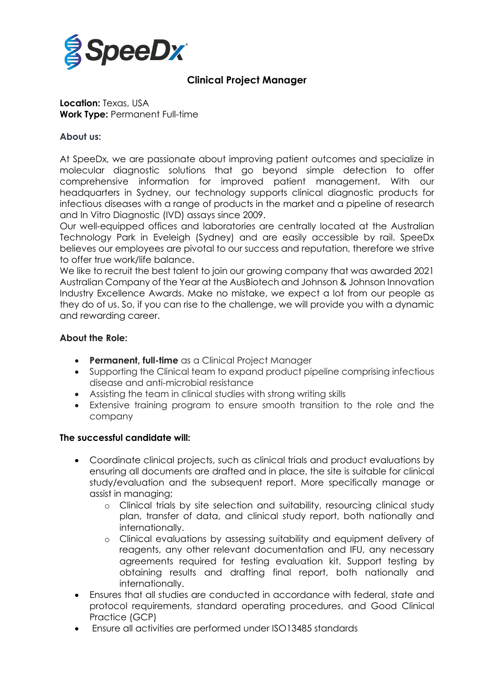

# **Clinical Project Manager**

**Location:** Texas, USA **Work Type:** Permanent Full-time

# **About us:**

At SpeeDx, we are passionate about improving patient outcomes and specialize in molecular diagnostic solutions that go beyond simple detection to offer comprehensive information for improved patient management. With our headquarters in Sydney, our technology supports clinical diagnostic products for infectious diseases with a range of products in the market and a pipeline of research and In Vitro Diagnostic (IVD) assays since 2009.

Our well-equipped offices and laboratories are centrally located at the Australian Technology Park in Eveleigh (Sydney) and are easily accessible by rail. SpeeDx believes our employees are pivotal to our success and reputation, therefore we strive to offer true work/life balance.

We like to recruit the best talent to join our growing company that was awarded 2021 Australian Company of the Year at the AusBiotech and Johnson & Johnson Innovation Industry Excellence Awards. Make no mistake, we expect a lot from our people as they do of us. So, if you can rise to the challenge, we will provide you with a dynamic and rewarding career.

# **About the Role:**

- **Permanent, full-time** as a Clinical Project Manager
- Supporting the Clinical team to expand product pipeline comprising infectious disease and anti-microbial resistance
- Assisting the team in clinical studies with strong writing skills
- Extensive training program to ensure smooth transition to the role and the company

### **The successful candidate will:**

- Coordinate clinical projects, such as clinical trials and product evaluations by ensuring all documents are drafted and in place, the site is suitable for clinical study/evaluation and the subsequent report. More specifically manage or assist in managing;
	- o Clinical trials by site selection and suitability, resourcing clinical study plan, transfer of data, and clinical study report, both nationally and internationally.
	- o Clinical evaluations by assessing suitability and equipment delivery of reagents, any other relevant documentation and IFU, any necessary agreements required for testing evaluation kit. Support testing by obtaining results and drafting final report, both nationally and internationally.
- Ensures that all studies are conducted in accordance with federal, state and protocol requirements, standard operating procedures, and Good Clinical Practice (GCP)
- Ensure all activities are performed under ISO13485 standards